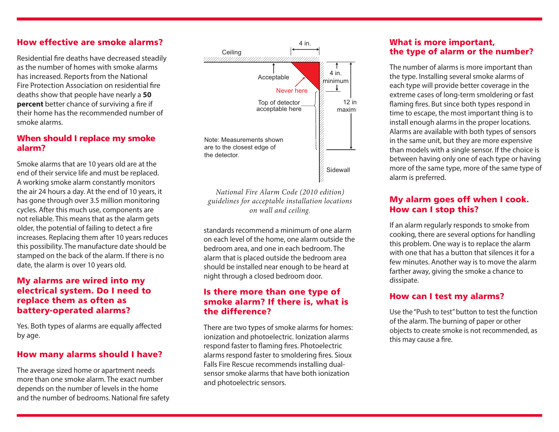#### How effective are smoke alarms?

Residential fire deaths have decreased steadily as the number of homes with smoke alarms has increased. Reports from the National Fire Protection Association on residential fire deaths show that people have nearly a **50 percent** better chance of surviving a fire if their home has the recommended number of smoke alarms.

#### When should I replace my smoke alarm?

Smoke alarms that are 10 years old are at the end of their service life and must be replaced. A working smoke alarm constantly monitors the air 24 hours a day. At the end of 10 years, it has gone through over 3.5 million monitoring cycles. After this much use, components are not reliable. This means that as the alarm gets older, the potential of failing to detect a fire increases. Replacing them after 10 years reduces this possibility. The manufacture date should be stamped on the back of the alarm. If there is no date, the alarm is over 10 years old.

#### My alarms are wired into my electrical system. Do I need to replace them as often as battery-operated alarms?

Yes. Both types of alarms are equally affected by age.

#### How many alarms should I have?

The average sized home or apartment needs more than one smoke alarm. The exact number depends on the number of levels in the home and the number of bedrooms. National fire safety



*National Fire Alarm Code (2010 edition) guidelines for acceptable installation locations on wall and ceiling.*

standards recommend a minimum of one alarm on each level of the home, one alarm outside the bedroom area, and one in each bedroom. The alarm that is placed outside the bedroom area should be installed near enough to be heard at night through a closed bedroom door.

#### Is there more than one type of smoke alarm? If there is, what is the difference?

There are two types of smoke alarms for homes: ionization and photoelectric. Ionization alarms respond faster to flaming fires. Photoelectric alarms respond faster to smoldering fires. Sioux Falls Fire Rescue recommends installing dualsensor smoke alarms that have both ionization and photoelectric sensors.

#### What is more important, the type of alarm or the number?

The number of alarms is more important than the type. Installing several smoke alarms of each type will provide better coverage in the extreme cases of long-term smoldering or fast flaming fires. But since both types respond in time to escape, the most important thing is to install enough alarms in the proper locations. Alarms are available with both types of sensors in the same unit, but they are more expensive than models with a single sensor. If the choice is between having only one of each type or having more of the same type, more of the same type of alarm is preferred.

#### My alarm goes off when I cook. How can I stop this?

If an alarm regularly responds to smoke from cooking, there are several options for handling this problem. One way is to replace the alarm with one that has a button that silences it for a few minutes. Another way is to move the alarm farther away, giving the smoke a chance to dissipate.

#### How can I test my alarms?

Use the "Push to test" button to test the function of the alarm. The burning of paper or other objects to create smoke is not recommended, as this may cause a fire.